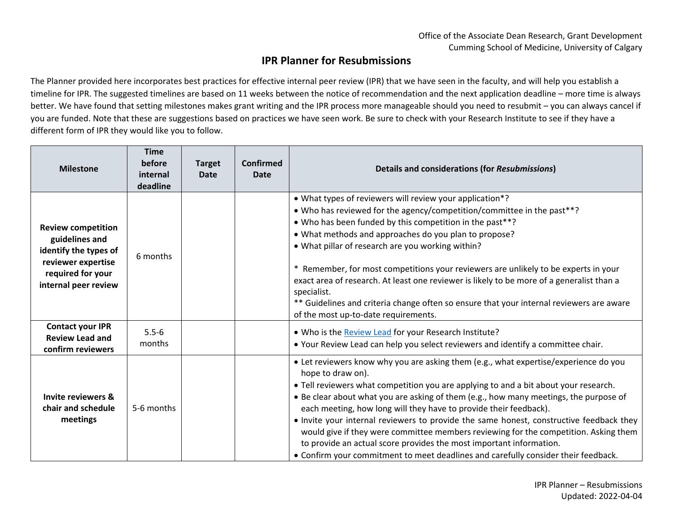## **IPR Planner for Resubmissions**

The Planner provided here incorporates best practices for effective internal peer review (IPR) that we have seen in the faculty, and will help you establish a timeline for IPR. The suggested timelines are based on 11 weeks between the notice of recommendation and the next application deadline – more time is always better. We have found that setting milestones makes grant writing and the IPR process more manageable should you need to resubmit – you can always cancel if you are funded. Note that these are suggestions based on practices we have seen work. Be sure to check with your Research Institute to see if they have a different form of IPR they would like you to follow.

| <b>Milestone</b>                                                                                                                        | <b>Time</b><br>before<br>internal<br>deadline | <b>Target</b><br><b>Date</b> | <b>Confirmed</b><br><b>Date</b> | <b>Details and considerations (for Resubmissions)</b>                                                                                                                                                                                                                                                                                                                                                                                                                                                                                                                                                                                                                                                           |
|-----------------------------------------------------------------------------------------------------------------------------------------|-----------------------------------------------|------------------------------|---------------------------------|-----------------------------------------------------------------------------------------------------------------------------------------------------------------------------------------------------------------------------------------------------------------------------------------------------------------------------------------------------------------------------------------------------------------------------------------------------------------------------------------------------------------------------------------------------------------------------------------------------------------------------------------------------------------------------------------------------------------|
| <b>Review competition</b><br>guidelines and<br>identify the types of<br>reviewer expertise<br>required for your<br>internal peer review | 6 months                                      |                              |                                 | • What types of reviewers will review your application*?<br>• Who has reviewed for the agency/competition/committee in the past**?<br>• Who has been funded by this competition in the past**?<br>• What methods and approaches do you plan to propose?<br>. What pillar of research are you working within?<br>* Remember, for most competitions your reviewers are unlikely to be experts in your<br>exact area of research. At least one reviewer is likely to be more of a generalist than a<br>specialist.<br>** Guidelines and criteria change often so ensure that your internal reviewers are aware<br>of the most up-to-date requirements.                                                             |
| <b>Contact your IPR</b><br><b>Review Lead and</b><br>confirm reviewers                                                                  | $5.5 - 6$<br>months                           |                              |                                 | . Who is the Review Lead for your Research Institute?<br>. Your Review Lead can help you select reviewers and identify a committee chair.                                                                                                                                                                                                                                                                                                                                                                                                                                                                                                                                                                       |
| Invite reviewers &<br>chair and schedule<br>meetings                                                                                    | 5-6 months                                    |                              |                                 | • Let reviewers know why you are asking them (e.g., what expertise/experience do you<br>hope to draw on).<br>• Tell reviewers what competition you are applying to and a bit about your research.<br>. Be clear about what you are asking of them (e.g., how many meetings, the purpose of<br>each meeting, how long will they have to provide their feedback).<br>• Invite your internal reviewers to provide the same honest, constructive feedback they<br>would give if they were committee members reviewing for the competition. Asking them<br>to provide an actual score provides the most important information.<br>• Confirm your commitment to meet deadlines and carefully consider their feedback. |